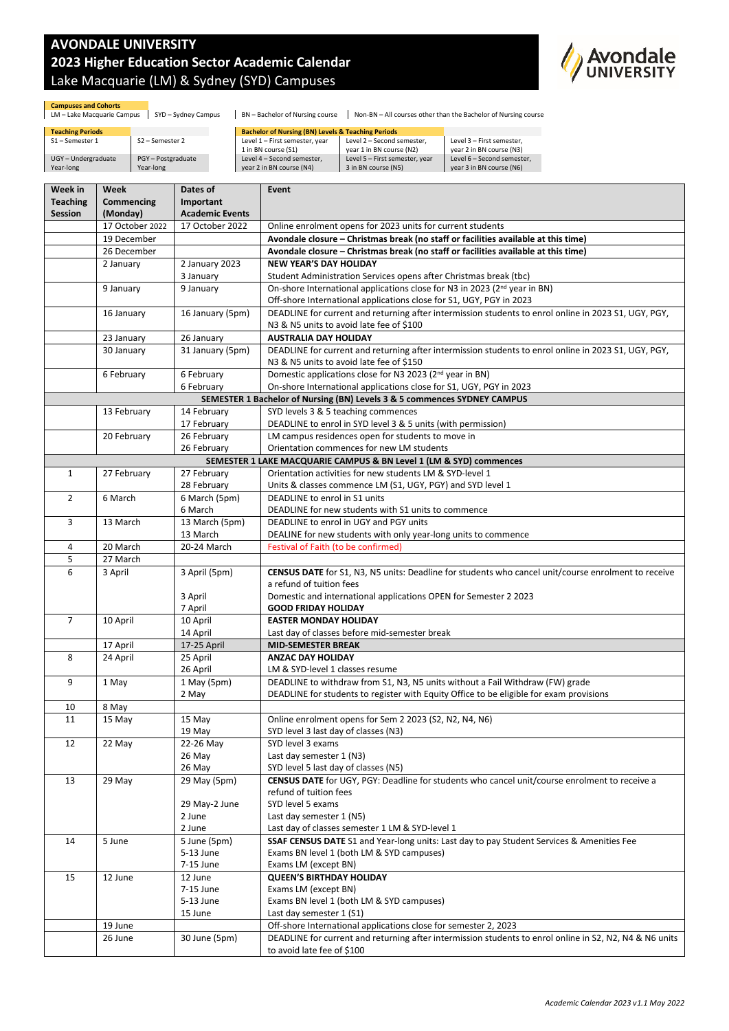## **AVONDALE UNIVERSITY 2023 Higher Education Sector Academic Calendar** Lake Macquarie (LM) & Sydney (SYD) Campuses



**Campuses and Cohorts**<br>LM – Lake Macquarie Campus | SYD – Sydney Campus | BN – Bachelor of Nursing course | Non-BN – All courses other than the Bachelor of Nursing course

| <b>Teaching Periods</b>               |                                | <b>Bachelor of Nursing (BN) Levels &amp; Teaching Periods</b> |                            |
|---------------------------------------|--------------------------------|---------------------------------------------------------------|----------------------------|
| S1 – Semester 1<br>S2 – Semester 2    | Level 1 - First semester, year | Level 2 - Second semester.                                    | Level 3 - First semester.  |
|                                       | 1 in BN course (S1)            | vear 1 in BN course (N2)                                      | vear 2 in BN course (N3)   |
| PGY-Postgraduate<br>UGY-Undergraduate | Level 4 - Second semester.     | Level 5 - First semester, year                                | Level 6 - Second semester. |
| Year-long<br>Year-long                | year 2 in BN course (N4)       | 3 in BN course (N5)                                           | year 3 in BN course (N6)   |

| Week in         | Week            | Dates of               | Event                                                                                                                                            |  |
|-----------------|-----------------|------------------------|--------------------------------------------------------------------------------------------------------------------------------------------------|--|
| <b>Teaching</b> | Commencing      | Important              |                                                                                                                                                  |  |
| Session         | (Monday)        | <b>Academic Events</b> |                                                                                                                                                  |  |
|                 | 17 October 2022 | 17 October 2022        | Online enrolment opens for 2023 units for current students                                                                                       |  |
|                 | 19 December     |                        | Avondale closure - Christmas break (no staff or facilities available at this time)                                                               |  |
|                 | 26 December     |                        | Avondale closure - Christmas break (no staff or facilities available at this time)                                                               |  |
|                 | 2 January       | 2 January 2023         | <b>NEW YEAR'S DAY HOLIDAY</b>                                                                                                                    |  |
|                 |                 | 3 January              | Student Administration Services opens after Christmas break (tbc)                                                                                |  |
|                 | 9 January       | 9 January              | On-shore International applications close for N3 in 2023 (2 <sup>nd</sup> year in BN)                                                            |  |
|                 |                 |                        | Off-shore International applications close for S1, UGY, PGY in 2023                                                                              |  |
|                 | 16 January      | 16 January (5pm)       | DEADLINE for current and returning after intermission students to enrol online in 2023 S1, UGY, PGY,                                             |  |
|                 |                 |                        | N3 & N5 units to avoid late fee of \$100                                                                                                         |  |
|                 | 23 January      | 26 January             | <b>AUSTRALIA DAY HOLIDAY</b>                                                                                                                     |  |
|                 | 30 January      | 31 January (5pm)       | DEADLINE for current and returning after intermission students to enrol online in 2023 S1, UGY, PGY,<br>N3 & N5 units to avoid late fee of \$150 |  |
|                 | 6 February      | 6 February             | Domestic applications close for N3 2023 (2 <sup>nd</sup> year in BN)                                                                             |  |
|                 |                 | 6 February             | On-shore International applications close for S1, UGY, PGY in 2023                                                                               |  |
|                 |                 |                        | SEMESTER 1 Bachelor of Nursing (BN) Levels 3 & 5 commences SYDNEY CAMPUS                                                                         |  |
|                 | 13 February     | 14 February            | SYD levels 3 & 5 teaching commences                                                                                                              |  |
|                 |                 | 17 February            | DEADLINE to enrol in SYD level 3 & 5 units (with permission)                                                                                     |  |
|                 | 20 February     | 26 February            | LM campus residences open for students to move in                                                                                                |  |
|                 |                 | 26 February            | Orientation commences for new LM students                                                                                                        |  |
|                 |                 |                        | SEMESTER 1 LAKE MACQUARIE CAMPUS & BN Level 1 (LM & SYD) commences                                                                               |  |
| $\mathbf{1}$    | 27 February     | 27 February            | Orientation activities for new students LM & SYD-level 1                                                                                         |  |
|                 |                 | 28 February            | Units & classes commence LM (S1, UGY, PGY) and SYD level 1                                                                                       |  |
| $\overline{2}$  | 6 March         | 6 March (5pm)          | DEADLINE to enrol in S1 units                                                                                                                    |  |
|                 |                 | 6 March                | DEADLINE for new students with S1 units to commence                                                                                              |  |
| 3               | 13 March        | 13 March (5pm)         | DEADLINE to enrol in UGY and PGY units                                                                                                           |  |
|                 |                 | 13 March               | DEALINE for new students with only year-long units to commence                                                                                   |  |
| 4               | 20 March        | 20-24 March            | Festival of Faith (to be confirmed)                                                                                                              |  |
| 5               | 27 March        |                        |                                                                                                                                                  |  |
| 6               | 3 April         | 3 April (5pm)          | CENSUS DATE for S1, N3, N5 units: Deadline for students who cancel unit/course enrolment to receive                                              |  |
|                 |                 |                        | a refund of tuition fees                                                                                                                         |  |
|                 |                 | 3 April                | Domestic and international applications OPEN for Semester 2 2023                                                                                 |  |
|                 |                 | 7 April                | <b>GOOD FRIDAY HOLIDAY</b>                                                                                                                       |  |
| $\overline{7}$  | 10 April        | 10 April               | <b>EASTER MONDAY HOLIDAY</b>                                                                                                                     |  |
|                 |                 | 14 April               | Last day of classes before mid-semester break                                                                                                    |  |
|                 | 17 April        | 17-25 April            | <b>MID-SEMESTER BREAK</b><br><b>ANZAC DAY HOLIDAY</b>                                                                                            |  |
| 8               | 24 April        | 25 April<br>26 April   | LM & SYD-level 1 classes resume                                                                                                                  |  |
| 9               | 1 May           | 1 May (5pm)            | DEADLINE to withdraw from S1, N3, N5 units without a Fail Withdraw (FW) grade                                                                    |  |
|                 |                 | 2 May                  | DEADLINE for students to register with Equity Office to be eligible for exam provisions                                                          |  |
| 10              | 8 May           |                        |                                                                                                                                                  |  |
| 11              | 15 May          | 15 May                 | Online enrolment opens for Sem 2 2023 (S2, N2, N4, N6)                                                                                           |  |
|                 |                 | 19 May                 | SYD level 3 last day of classes (N3)                                                                                                             |  |
| 12              | 22 May          | 22-26 May              | SYD level 3 exams                                                                                                                                |  |
|                 |                 | 26 May                 | Last day semester 1 (N3)                                                                                                                         |  |
|                 |                 | 26 May                 | SYD level 5 last day of classes (N5)                                                                                                             |  |
| 13              | 29 May          | 29 May (5pm)           | CENSUS DATE for UGY, PGY: Deadline for students who cancel unit/course enrolment to receive a                                                    |  |
|                 |                 |                        | refund of tuition fees                                                                                                                           |  |
|                 |                 | 29 May-2 June          | SYD level 5 exams                                                                                                                                |  |
|                 |                 | 2 June                 | Last day semester 1 (N5)                                                                                                                         |  |
|                 |                 | 2 June                 | Last day of classes semester 1 LM & SYD-level 1                                                                                                  |  |
| 14              | 5 June          | 5 June (5pm)           | <b>SSAF CENSUS DATE</b> S1 and Year-long units: Last day to pay Student Services & Amenities Fee                                                 |  |
|                 |                 | 5-13 June              | Exams BN level 1 (both LM & SYD campuses)                                                                                                        |  |
|                 |                 | 7-15 June              | Exams LM (except BN)                                                                                                                             |  |
| 15              | 12 June         | 12 June                | <b>QUEEN'S BIRTHDAY HOLIDAY</b>                                                                                                                  |  |
|                 |                 | 7-15 June              | Exams LM (except BN)                                                                                                                             |  |
|                 |                 | 5-13 June              | Exams BN level 1 (both LM & SYD campuses)                                                                                                        |  |
|                 |                 | 15 June                | Last day semester 1 (S1)                                                                                                                         |  |
|                 | 19 June         |                        | Off-shore International applications close for semester 2, 2023                                                                                  |  |
|                 | 26 June         | 30 June (5pm)          | DEADLINE for current and returning after intermission students to enrol online in S2, N2, N4 & N6 units                                          |  |
|                 |                 |                        | to avoid late fee of \$100                                                                                                                       |  |